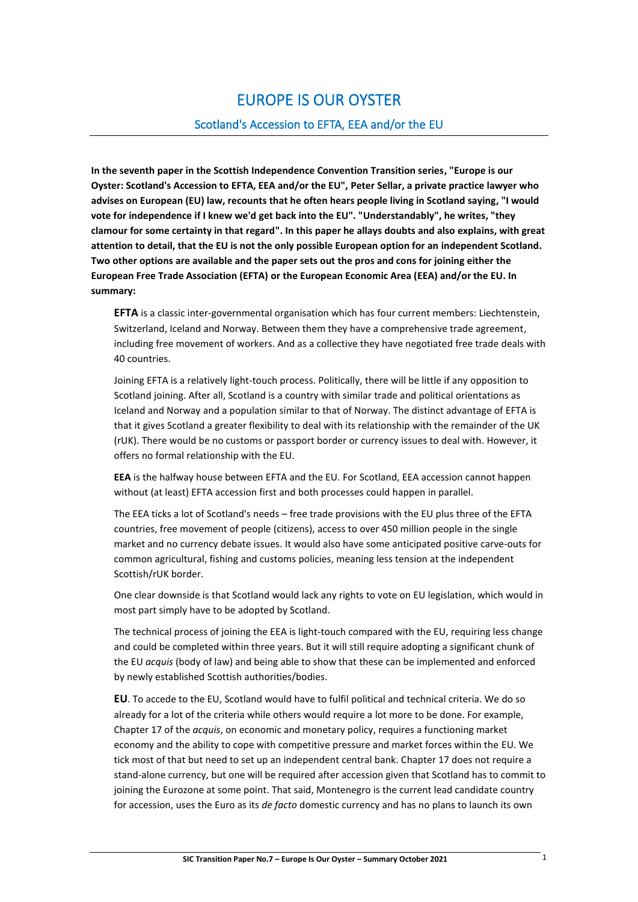## EUROPE IS OUR OYSTER

## Scotland's Accession to EFTA, EEA and/or the EU

**In the seventh paper in the Scottish Independence Convention Transition series, "Europe is our Oyster: Scotland's Accession to EFTA, EEA and/or the EU", Peter Sellar, a private practice lawyer who advises on European (EU) law, recounts that he often hears people living in Scotland saying, "I would vote for independence if I knew we'd get back into the EU". "Understandably", he writes, "they clamour for some certainty in that regard". In this paper he allays doubts and also explains, with great attention to detail, that the EU is not the only possible European option for an independent Scotland. Two other options are available and the paper sets out the pros and cons for joining either the European Free Trade Association (EFTA) or the European Economic Area (EEA) and/or the EU. In summary:**

**EFTA** is a classic inter-governmental organisation which has four current members: Liechtenstein, Switzerland, Iceland and Norway. Between them they have a comprehensive trade agreement, including free movement of workers. And as a collective they have negotiated free trade deals with 40 countries.

Joining EFTA is a relatively light-touch process. Politically, there will be little if any opposition to Scotland joining. After all, Scotland is a country with similar trade and political orientations as Iceland and Norway and a population similar to that of Norway. The distinct advantage of EFTA is that it gives Scotland a greater flexibility to deal with its relationship with the remainder of the UK (rUK). There would be no customs or passport border or currency issues to deal with. However, it offers no formal relationship with the EU.

**EEA** is the halfway house between EFTA and the EU. For Scotland, EEA accession cannot happen without (at least) EFTA accession first and both processes could happen in parallel.

The EEA ticks a lot of Scotland's needs – free trade provisions with the EU plus three of the EFTA countries, free movement of people (citizens), access to over 450 million people in the single market and no currency debate issues. It would also have some anticipated positive carve-outs for common agricultural, fishing and customs policies, meaning less tension at the independent Scottish/rUK border.

One clear downside is that Scotland would lack any rights to vote on EU legislation, which would in most part simply have to be adopted by Scotland.

The technical process of joining the EEA is light-touch compared with the EU, requiring less change and could be completed within three years. But it will still require adopting a significant chunk of the EU *acquis* (body of law) and being able to show that these can be implemented and enforced by newly established Scottish authorities/bodies.

**EU**. To accede to the EU, Scotland would have to fulfil political and technical criteria. We do so already for a lot of the criteria while others would require a lot more to be done. For example, Chapter 17 of the *acquis*, on economic and monetary policy, requires a functioning market economy and the ability to cope with competitive pressure and market forces within the EU. We tick most of that but need to set up an independent central bank. Chapter 17 does not require a stand-alone currency, but one will be required after accession given that Scotland has to commit to joining the Eurozone at some point. That said, Montenegro is the current lead candidate country for accession, uses the Euro as its *de facto* domestic currency and has no plans to launch its own